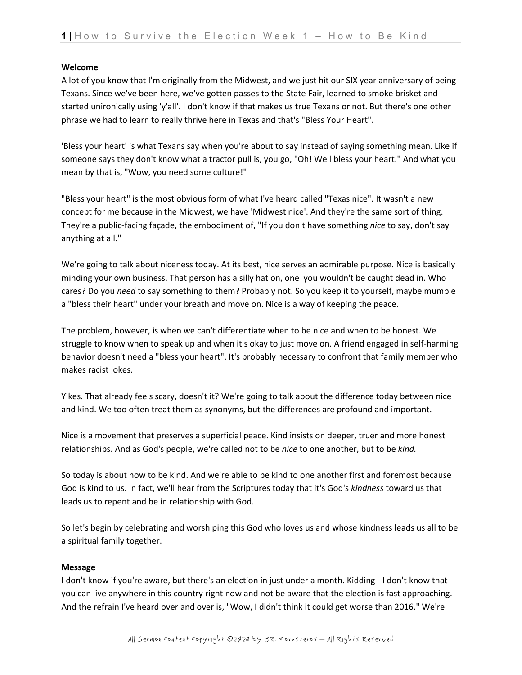#### **Welcome**

A lot of you know that I'm originally from the Midwest, and we just hit our SIX year anniversary of being Texans. Since we've been here, we've gotten passes to the State Fair, learned to smoke brisket and started unironically using 'y'all'. I don't know if that makes us true Texans or not. But there's one other phrase we had to learn to really thrive here in Texas and that's "Bless Your Heart".

'Bless your heart' is what Texans say when you're about to say instead of saying something mean. Like if someone says they don't know what a tractor pull is, you go, "Oh! Well bless your heart." And what you mean by that is, "Wow, you need some culture!"

"Bless your heart" is the most obvious form of what I've heard called "Texas nice". It wasn't a new concept for me because in the Midwest, we have 'Midwest nice'. And they're the same sort of thing. They're a public-facing façade, the embodiment of, "If you don't have something *nice* to say, don't say anything at all."

We're going to talk about niceness today. At its best, nice serves an admirable purpose. Nice is basically minding your own business. That person has a silly hat on, one you wouldn't be caught dead in. Who cares? Do you *need* to say something to them? Probably not. So you keep it to yourself, maybe mumble a "bless their heart" under your breath and move on. Nice is a way of keeping the peace.

The problem, however, is when we can't differentiate when to be nice and when to be honest. We struggle to know when to speak up and when it's okay to just move on. A friend engaged in self-harming behavior doesn't need a "bless your heart". It's probably necessary to confront that family member who makes racist jokes.

Yikes. That already feels scary, doesn't it? We're going to talk about the difference today between nice and kind. We too often treat them as synonyms, but the differences are profound and important.

Nice is a movement that preserves a superficial peace. Kind insists on deeper, truer and more honest relationships. And as God's people, we're called not to be *nice* to one another, but to be *kind.*

So today is about how to be kind. And we're able to be kind to one another first and foremost because God is kind to us. In fact, we'll hear from the Scriptures today that it's God's *kindness* toward us that leads us to repent and be in relationship with God.

So let's begin by celebrating and worshiping this God who loves us and whose kindness leads us all to be a spiritual family together.

## **Message**

I don't know if you're aware, but there's an election in just under a month. Kidding - I don't know that you can live anywhere in this country right now and not be aware that the election is fast approaching. And the refrain I've heard over and over is, "Wow, I didn't think it could get worse than 2016." We're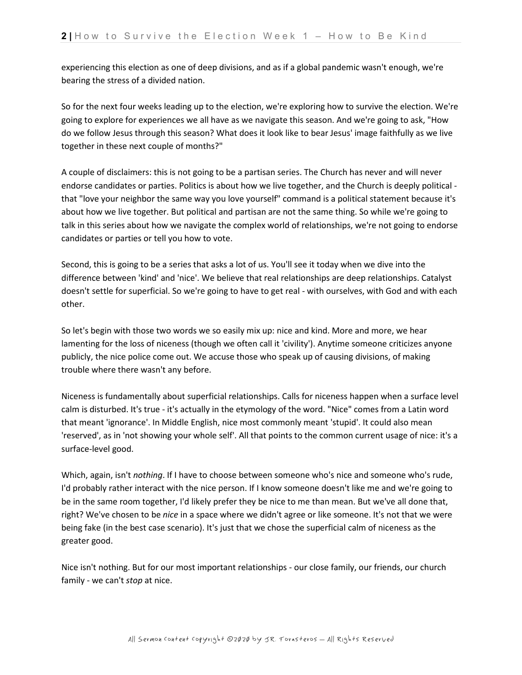experiencing this election as one of deep divisions, and as if a global pandemic wasn't enough, we're bearing the stress of a divided nation.

So for the next four weeks leading up to the election, we're exploring how to survive the election. We're going to explore for experiences we all have as we navigate this season. And we're going to ask, "How do we follow Jesus through this season? What does it look like to bear Jesus' image faithfully as we live together in these next couple of months?"

A couple of disclaimers: this is not going to be a partisan series. The Church has never and will never endorse candidates or parties. Politics is about how we live together, and the Church is deeply political that "love your neighbor the same way you love yourself" command is a political statement because it's about how we live together. But political and partisan are not the same thing. So while we're going to talk in this series about how we navigate the complex world of relationships, we're not going to endorse candidates or parties or tell you how to vote.

Second, this is going to be a series that asks a lot of us. You'll see it today when we dive into the difference between 'kind' and 'nice'. We believe that real relationships are deep relationships. Catalyst doesn't settle for superficial. So we're going to have to get real - with ourselves, with God and with each other.

So let's begin with those two words we so easily mix up: nice and kind. More and more, we hear lamenting for the loss of niceness (though we often call it 'civility'). Anytime someone criticizes anyone publicly, the nice police come out. We accuse those who speak up of causing divisions, of making trouble where there wasn't any before.

Niceness is fundamentally about superficial relationships. Calls for niceness happen when a surface level calm is disturbed. It's true - it's actually in the etymology of the word. "Nice" comes from a Latin word that meant 'ignorance'. In Middle English, nice most commonly meant 'stupid'. It could also mean 'reserved', as in 'not showing your whole self'. All that points to the common current usage of nice: it's a surface-level good.

Which, again, isn't *nothing*. If I have to choose between someone who's nice and someone who's rude, I'd probably rather interact with the nice person. If I know someone doesn't like me and we're going to be in the same room together, I'd likely prefer they be nice to me than mean. But we've all done that, right? We've chosen to be *nice* in a space where we didn't agree or like someone. It's not that we were being fake (in the best case scenario). It's just that we chose the superficial calm of niceness as the greater good.

Nice isn't nothing. But for our most important relationships - our close family, our friends, our church family - we can't *stop* at nice.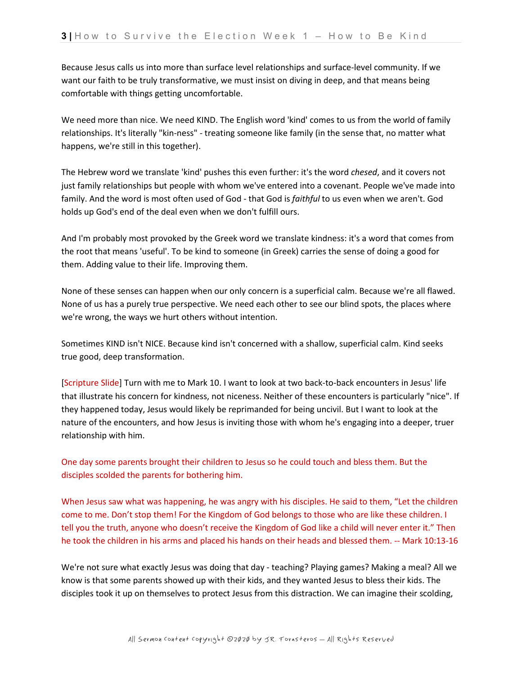Because Jesus calls us into more than surface level relationships and surface-level community. If we want our faith to be truly transformative, we must insist on diving in deep, and that means being comfortable with things getting uncomfortable.

We need more than nice. We need KIND. The English word 'kind' comes to us from the world of family relationships. It's literally "kin-ness" - treating someone like family (in the sense that, no matter what happens, we're still in this together).

The Hebrew word we translate 'kind' pushes this even further: it's the word *chesed*, and it covers not just family relationships but people with whom we've entered into a covenant. People we've made into family. And the word is most often used of God - that God is *faithful* to us even when we aren't. God holds up God's end of the deal even when we don't fulfill ours.

And I'm probably most provoked by the Greek word we translate kindness: it's a word that comes from the root that means 'useful'. To be kind to someone (in Greek) carries the sense of doing a good for them. Adding value to their life. Improving them.

None of these senses can happen when our only concern is a superficial calm. Because we're all flawed. None of us has a purely true perspective. We need each other to see our blind spots, the places where we're wrong, the ways we hurt others without intention.

Sometimes KIND isn't NICE. Because kind isn't concerned with a shallow, superficial calm. Kind seeks true good, deep transformation.

[Scripture Slide] Turn with me to Mark 10. I want to look at two back-to-back encounters in Jesus' life that illustrate his concern for kindness, not niceness. Neither of these encounters is particularly "nice". If they happened today, Jesus would likely be reprimanded for being uncivil. But I want to look at the nature of the encounters, and how Jesus is inviting those with whom he's engaging into a deeper, truer relationship with him.

One day some parents brought their children to Jesus so he could touch and bless them. But the disciples scolded the parents for bothering him.

When Jesus saw what was happening, he was angry with his disciples. He said to them, "Let the children come to me. Don't stop them! For the Kingdom of God belongs to those who are like these children. I tell you the truth, anyone who doesn't receive the Kingdom of God like a child will never enter it." Then he took the children in his arms and placed his hands on their heads and blessed them. -- Mark 10:13-16

We're not sure what exactly Jesus was doing that day - teaching? Playing games? Making a meal? All we know is that some parents showed up with their kids, and they wanted Jesus to bless their kids. The disciples took it up on themselves to protect Jesus from this distraction. We can imagine their scolding,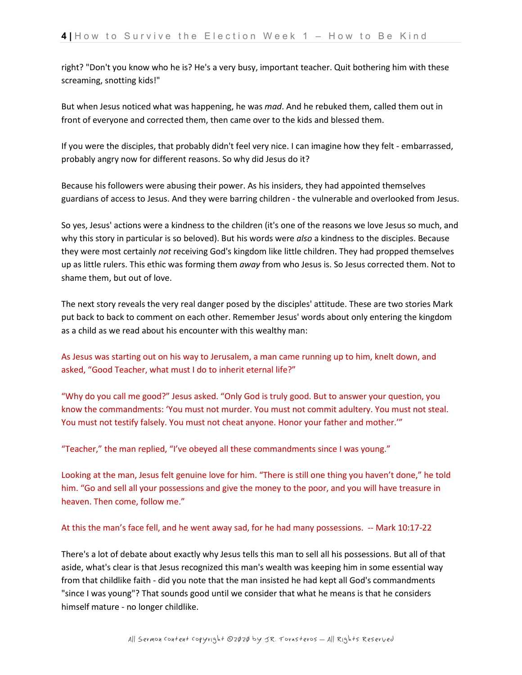right? "Don't you know who he is? He's a very busy, important teacher. Quit bothering him with these screaming, snotting kids!"

But when Jesus noticed what was happening, he was *mad*. And he rebuked them, called them out in front of everyone and corrected them, then came over to the kids and blessed them.

If you were the disciples, that probably didn't feel very nice. I can imagine how they felt - embarrassed, probably angry now for different reasons. So why did Jesus do it?

Because his followers were abusing their power. As his insiders, they had appointed themselves guardians of access to Jesus. And they were barring children - the vulnerable and overlooked from Jesus.

So yes, Jesus' actions were a kindness to the children (it's one of the reasons we love Jesus so much, and why this story in particular is so beloved). But his words were *also* a kindness to the disciples. Because they were most certainly *not* receiving God's kingdom like little children. They had propped themselves up as little rulers. This ethic was forming them *away* from who Jesus is. So Jesus corrected them. Not to shame them, but out of love.

The next story reveals the very real danger posed by the disciples' attitude. These are two stories Mark put back to back to comment on each other. Remember Jesus' words about only entering the kingdom as a child as we read about his encounter with this wealthy man:

As Jesus was starting out on his way to Jerusalem, a man came running up to him, knelt down, and asked, "Good Teacher, what must I do to inherit eternal life?"

"Why do you call me good?" Jesus asked. "Only God is truly good. But to answer your question, you know the commandments: 'You must not murder. You must not commit adultery. You must not steal. You must not testify falsely. You must not cheat anyone. Honor your father and mother.'"

"Teacher," the man replied, "I've obeyed all these commandments since I was young."

Looking at the man, Jesus felt genuine love for him. "There is still one thing you haven't done," he told him. "Go and sell all your possessions and give the money to the poor, and you will have treasure in heaven. Then come, follow me."

## At this the man's face fell, and he went away sad, for he had many possessions. -- Mark 10:17-22

There's a lot of debate about exactly why Jesus tells this man to sell all his possessions. But all of that aside, what's clear is that Jesus recognized this man's wealth was keeping him in some essential way from that childlike faith - did you note that the man insisted he had kept all God's commandments "since I was young"? That sounds good until we consider that what he means is that he considers himself mature - no longer childlike.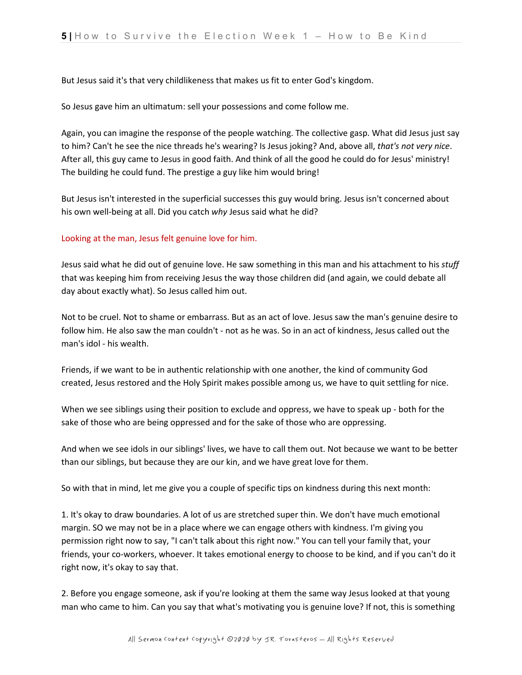But Jesus said it's that very childlikeness that makes us fit to enter God's kingdom.

So Jesus gave him an ultimatum: sell your possessions and come follow me.

Again, you can imagine the response of the people watching. The collective gasp. What did Jesus just say to him? Can't he see the nice threads he's wearing? Is Jesus joking? And, above all, *that's not very nice*. After all, this guy came to Jesus in good faith. And think of all the good he could do for Jesus' ministry! The building he could fund. The prestige a guy like him would bring!

But Jesus isn't interested in the superficial successes this guy would bring. Jesus isn't concerned about his own well-being at all. Did you catch *why* Jesus said what he did?

# Looking at the man, Jesus felt genuine love for him.

Jesus said what he did out of genuine love. He saw something in this man and his attachment to his *stuff*  that was keeping him from receiving Jesus the way those children did (and again, we could debate all day about exactly what). So Jesus called him out.

Not to be cruel. Not to shame or embarrass. But as an act of love. Jesus saw the man's genuine desire to follow him. He also saw the man couldn't - not as he was. So in an act of kindness, Jesus called out the man's idol - his wealth.

Friends, if we want to be in authentic relationship with one another, the kind of community God created, Jesus restored and the Holy Spirit makes possible among us, we have to quit settling for nice.

When we see siblings using their position to exclude and oppress, we have to speak up - both for the sake of those who are being oppressed and for the sake of those who are oppressing.

And when we see idols in our siblings' lives, we have to call them out. Not because we want to be better than our siblings, but because they are our kin, and we have great love for them.

So with that in mind, let me give you a couple of specific tips on kindness during this next month:

1. It's okay to draw boundaries. A lot of us are stretched super thin. We don't have much emotional margin. SO we may not be in a place where we can engage others with kindness. I'm giving you permission right now to say, "I can't talk about this right now." You can tell your family that, your friends, your co-workers, whoever. It takes emotional energy to choose to be kind, and if you can't do it right now, it's okay to say that.

2. Before you engage someone, ask if you're looking at them the same way Jesus looked at that young man who came to him. Can you say that what's motivating you is genuine love? If not, this is something